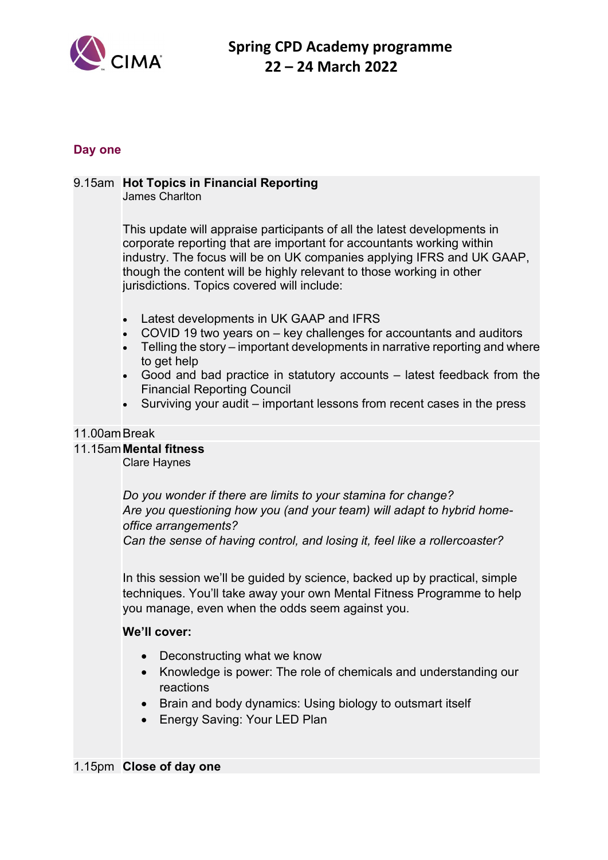

# **Day one**

# 9.15am **Hot Topics in Financial Reporting**

James Charlton

This update will appraise participants of all the latest developments in corporate reporting that are important for accountants working within industry. The focus will be on UK companies applying IFRS and UK GAAP, though the content will be highly relevant to those working in other jurisdictions. Topics covered will include:

- Latest developments in UK GAAP and IFRS
- COVID 19 two years on key challenges for accountants and auditors
- Telling the story important developments in narrative reporting and where to get help
- Good and bad practice in statutory accounts latest feedback from the Financial Reporting Council
- Surviving your audit important lessons from recent cases in the press

#### 11.00amBreak

#### 11.15am**Mental fitness**

Clare Haynes

*Do you wonder if there are limits to your stamina for change? Are you questioning how you (and your team) will adapt to hybrid homeoffice arrangements?*

*Can the sense of having control, and losing it, feel like a rollercoaster?*

In this session we'll be guided by science, backed up by practical, simple techniques. You'll take away your own Mental Fitness Programme to help you manage, even when the odds seem against you.

# **We'll cover:**

- Deconstructing what we know
- Knowledge is power: The role of chemicals and understanding our reactions
- Brain and body dynamics: Using biology to outsmart itself
- Energy Saving: Your LED Plan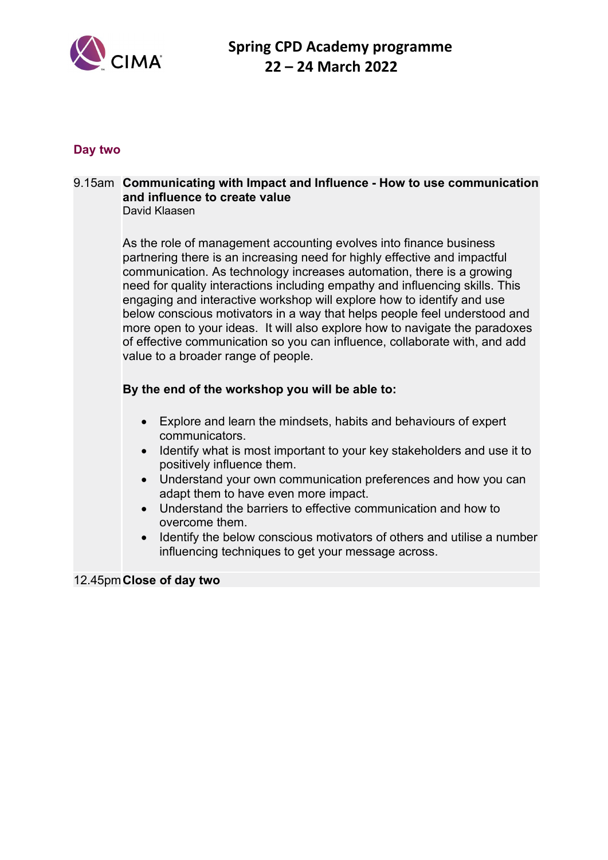

### **Day two**

#### 9.15am **Communicating with Impact and Influence - How to use communication and influence to create value** David Klaasen

As the role of management accounting evolves into finance business partnering there is an increasing need for highly effective and impactful communication. As technology increases automation, there is a growing need for quality interactions including empathy and influencing skills. This engaging and interactive workshop will explore how to identify and use below conscious motivators in a way that helps people feel understood and more open to your ideas. It will also explore how to navigate the paradoxes of effective communication so you can influence, collaborate with, and add value to a broader range of people.

# **By the end of the workshop you will be able to:**

- Explore and learn the mindsets, habits and behaviours of expert communicators.
- Identify what is most important to your key stakeholders and use it to positively influence them.
- Understand your own communication preferences and how you can adapt them to have even more impact.
- Understand the barriers to effective communication and how to overcome them.
- Identify the below conscious motivators of others and utilise a number influencing techniques to get your message across.

#### 12.45pm**Close of day two**